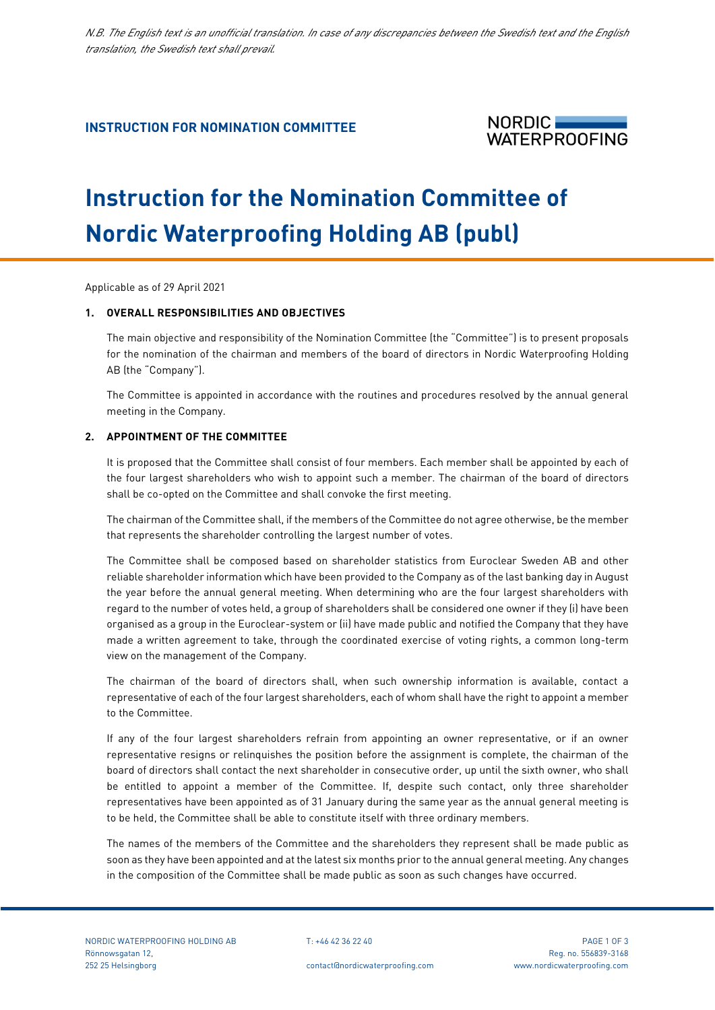# **INSTRUCTION FOR NOMINATION COMMITTEE**



# **Instruction for the Nomination Committee of Nordic Waterproofing Holding AB (publ)**

Applicable as of 29 April 2021

ī

# **1. OVERALL RESPONSIBILITIES AND OBJECTIVES**

The main objective and responsibility of the Nomination Committee (the "Committee") is to present proposals for the nomination of the chairman and members of the board of directors in Nordic Waterproofing Holding AB (the "Company").

The Committee is appointed in accordance with the routines and procedures resolved by the annual general meeting in the Company.

# **2. APPOINTMENT OF THE COMMITTEE**

It is proposed that the Committee shall consist of four members. Each member shall be appointed by each of the four largest shareholders who wish to appoint such a member. The chairman of the board of directors shall be co-opted on the Committee and shall convoke the first meeting.

The chairman of the Committee shall, if the members of the Committee do not agree otherwise, be the member that represents the shareholder controlling the largest number of votes.

The Committee shall be composed based on shareholder statistics from Euroclear Sweden AB and other reliable shareholder information which have been provided to the Company as of the last banking day in August the year before the annual general meeting. When determining who are the four largest shareholders with regard to the number of votes held, a group of shareholders shall be considered one owner if they (i) have been organised as a group in the Euroclear-system or (ii) have made public and notified the Company that they have made a written agreement to take, through the coordinated exercise of voting rights, a common long-term view on the management of the Company.

The chairman of the board of directors shall, when such ownership information is available, contact a representative of each of the four largest shareholders, each of whom shall have the right to appoint a member to the Committee.

If any of the four largest shareholders refrain from appointing an owner representative, or if an owner representative resigns or relinquishes the position before the assignment is complete, the chairman of the board of directors shall contact the next shareholder in consecutive order, up until the sixth owner, who shall be entitled to appoint a member of the Committee. If, despite such contact, only three shareholder representatives have been appointed as of 31 January during the same year as the annual general meeting is to be held, the Committee shall be able to constitute itself with three ordinary members.

The names of the members of the Committee and the shareholders they represent shall be made public as soon as they have been appointed and at the latest six months prior to the annual general meeting. Any changes in the composition of the Committee shall be made public as soon as such changes have occurred.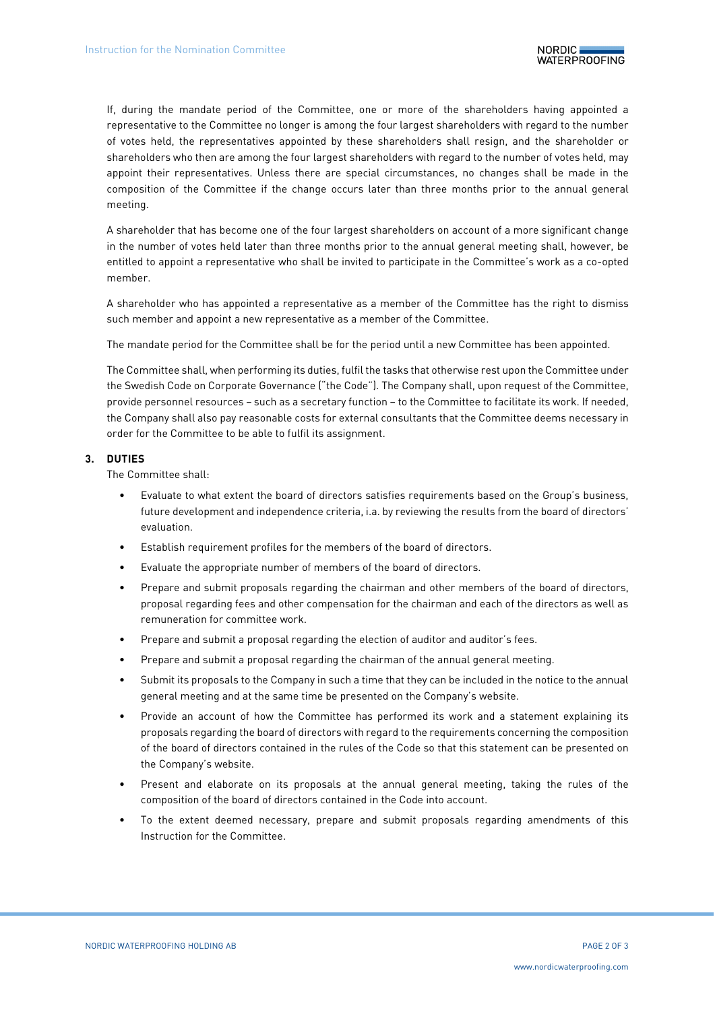If, during the mandate period of the Committee, one or more of the shareholders having appointed a representative to the Committee no longer is among the four largest shareholders with regard to the number of votes held, the representatives appointed by these shareholders shall resign, and the shareholder or shareholders who then are among the four largest shareholders with regard to the number of votes held, may appoint their representatives. Unless there are special circumstances, no changes shall be made in the composition of the Committee if the change occurs later than three months prior to the annual general meeting.

A shareholder that has become one of the four largest shareholders on account of a more significant change in the number of votes held later than three months prior to the annual general meeting shall, however, be entitled to appoint a representative who shall be invited to participate in the Committee's work as a co-opted member.

A shareholder who has appointed a representative as a member of the Committee has the right to dismiss such member and appoint a new representative as a member of the Committee.

The mandate period for the Committee shall be for the period until a new Committee has been appointed.

The Committee shall, when performing its duties, fulfil the tasks that otherwise rest upon the Committee under the Swedish Code on Corporate Governance ("the Code"). The Company shall, upon request of the Committee, provide personnel resources – such as a secretary function – to the Committee to facilitate its work. If needed, the Company shall also pay reasonable costs for external consultants that the Committee deems necessary in order for the Committee to be able to fulfil its assignment.

#### **3. DUTIES**

The Committee shall:

- Evaluate to what extent the board of directors satisfies requirements based on the Group's business, future development and independence criteria, i.a. by reviewing the results from the board of directors' evaluation.
- Establish requirement profiles for the members of the board of directors.
- Evaluate the appropriate number of members of the board of directors.
- Prepare and submit proposals regarding the chairman and other members of the board of directors, proposal regarding fees and other compensation for the chairman and each of the directors as well as remuneration for committee work.
- Prepare and submit a proposal regarding the election of auditor and auditor's fees.
- Prepare and submit a proposal regarding the chairman of the annual general meeting.
- Submit its proposals to the Company in such a time that they can be included in the notice to the annual general meeting and at the same time be presented on the Company's website.
- Provide an account of how the Committee has performed its work and a statement explaining its proposals regarding the board of directors with regard to the requirements concerning the composition of the board of directors contained in the rules of the Code so that this statement can be presented on the Company's website.
- Present and elaborate on its proposals at the annual general meeting, taking the rules of the composition of the board of directors contained in the Code into account.
- To the extent deemed necessary, prepare and submit proposals regarding amendments of this Instruction for the Committee.